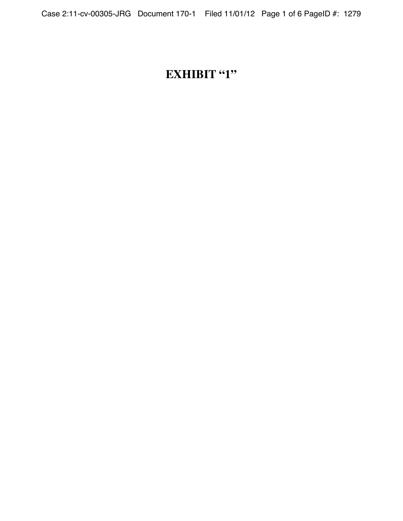# **EXHIBIT "1"**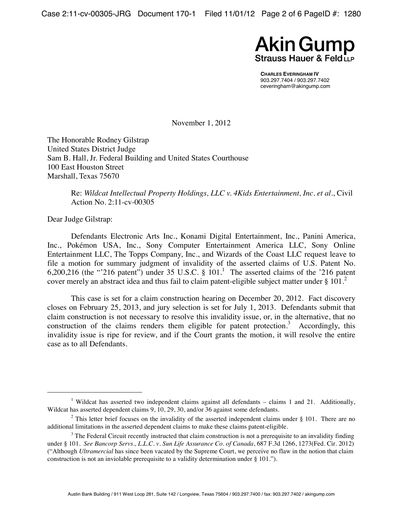Case 2:11-cv-00305-JRG Document 170-1 Filed 11/01/12 Page 2 of 6 PageID #: 1280



**CHARLES EVERINGHAM IV**  903.297.7404 / 903.297.7402 ceveringham@akingump.com

November 1, 2012

The Honorable Rodney Gilstrap United States District Judge Sam B. Hall, Jr. Federal Building and United States Courthouse 100 East Houston Street Marshall, Texas 75670

> Re: *Wildcat Intellectual Property Holdings, LLC v. 4Kids Entertainment, Inc. et al.*, Civil Action No. 2:11-cv-00305

Dear Judge Gilstrap:

Defendants Electronic Arts Inc., Konami Digital Entertainment, Inc., Panini America, Inc., Pokémon USA, Inc., Sony Computer Entertainment America LLC, Sony Online Entertainment LLC, The Topps Company, Inc., and Wizards of the Coast LLC request leave to file a motion for summary judgment of invalidity of the asserted claims of U.S. Patent No. 6,200,216 (the "216 patent") under 35 U.S.C. §  $101<sup>1</sup>$ . The asserted claims of the '216 patent cover merely an abstract idea and thus fail to claim patent-eligible subject matter under § 101.<sup>2</sup>

This case is set for a claim construction hearing on December 20, 2012. Fact discovery closes on February 25, 2013, and jury selection is set for July 1, 2013. Defendants submit that claim construction is not necessary to resolve this invalidity issue, or, in the alternative, that no construction of the claims renders them eligible for patent protection.<sup>3</sup> Accordingly, this invalidity issue is ripe for review, and if the Court grants the motion, it will resolve the entire case as to all Defendants.

 $\begin{array}{c|c}\n\hline\n\text{1}\n\end{array}$ <sup>1</sup> Wildcat has asserted two independent claims against all defendants – claims 1 and 21. Additionally, Wildcat has asserted dependent claims 9, 10, 29, 30, and/or 36 against some defendants.

<sup>&</sup>lt;sup>2</sup> This letter brief focuses on the invalidity of the asserted independent claims under  $\S$  101. There are no additional limitations in the asserted dependent claims to make these claims patent-eligible.

 $3$  The Federal Circuit recently instructed that claim construction is not a prerequisite to an invalidity finding under § 101. *See Bancorp Servs., L.L.C. v. Sun Life Assurance Co. of Canada*, 687 F.3d 1266, 1273(Fed. Cir. 2012) ("Although *Ultramercial* has since been vacated by the Supreme Court, we perceive no flaw in the notion that claim construction is not an inviolable prerequisite to a validity determination under § 101.").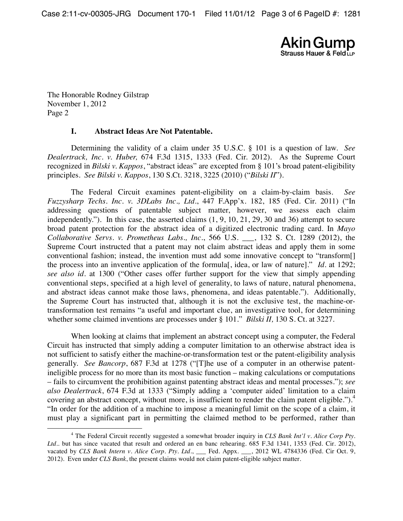Case 2:11-cv-00305-JRG Document 170-1 Filed 11/01/12 Page 3 of 6 PageID #: 1281



The Honorable Rodney Gilstrap November 1, 2012 Page 2

#### **I. Abstract Ideas Are Not Patentable.**

Determining the validity of a claim under 35 U.S.C. § 101 is a question of law. *See Dealertrack, Inc. v. Huber,* 674 F.3d 1315, 1333 (Fed. Cir. 2012). As the Supreme Court recognized in *Bilski v. Kappos*, "abstract ideas" are excepted from § 101's broad patent-eligibility principles. *See Bilski v. Kappos*, 130 S.Ct. 3218, 3225 (2010) ("*Bilski II*").

The Federal Circuit examines patent-eligibility on a claim-by-claim basis. *See Fuzzysharp Techs. Inc. v. 3DLabs Inc., Ltd*., 447 F.App'x. 182, 185 (Fed. Cir. 2011) ("In addressing questions of patentable subject matter, however, we assess each claim independently."). In this case, the asserted claims (1, 9, 10, 21, 29, 30 and 36) attempt to secure broad patent protection for the abstract idea of a digitized electronic trading card. In *Mayo Collaborative Servs. v. Prometheus Labs., Inc.*, 566 U.S. \_\_\_, 132 S. Ct. 1289 (2012), the Supreme Court instructed that a patent may not claim abstract ideas and apply them in some conventional fashion; instead, the invention must add some innovative concept to "transform[] the process into an inventive application of the formula[, idea, or law of nature]." *Id.* at 1292; *see also id*. at 1300 ("Other cases offer further support for the view that simply appending conventional steps, specified at a high level of generality, to laws of nature, natural phenomena, and abstract ideas cannot make those laws, phenomena, and ideas patentable."). Additionally, the Supreme Court has instructed that, although it is not the exclusive test, the machine-ortransformation test remains "a useful and important clue, an investigative tool, for determining whether some claimed inventions are processes under § 101." *Bilski II,* 130 S. Ct. at 3227.

When looking at claims that implement an abstract concept using a computer, the Federal Circuit has instructed that simply adding a computer limitation to an otherwise abstract idea is not sufficient to satisfy either the machine-or-transformation test or the patent-eligibility analysis generally. *See Bancorp*, 687 F.3d at 1278 ("[T]he use of a computer in an otherwise patentineligible process for no more than its most basic function – making calculations or computations – fails to circumvent the prohibition against patenting abstract ideas and mental processes."); *see also Dealertrack*, 674 F.3d at 1333 ("Simply adding a 'computer aided' limitation to a claim covering an abstract concept, without more, is insufficient to render the claim patent eligible.").<sup>4</sup> "In order for the addition of a machine to impose a meaningful limit on the scope of a claim, it must play a significant part in permitting the claimed method to be performed, rather than

 $\overline{a}$ <sup>4</sup> The Federal Circuit recently suggested a somewhat broader inquiry in *CLS Bank Int'l v. Alice Corp Pty. Ltd.*. but has since vacated that result and ordered an en banc rehearing. 685 F.3d 1341, 1353 (Fed. Cir. 2012), vacated by *CLS Bank Intern v. Alice Corp. Pty. Ltd.*, \_\_\_ Fed. Appx. \_\_, 2012 WL 4784336 (Fed. Cir Oct. 9, 2012). Even under *CLS Bank*, the present claims would not claim patent-eligible subject matter.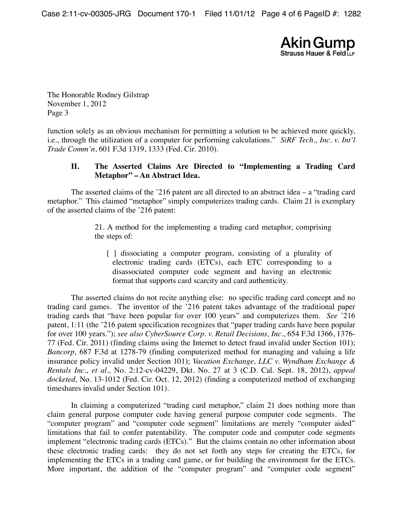Case 2:11-cv-00305-JRG Document 170-1 Filed 11/01/12 Page 4 of 6 PageID #: 1282



The Honorable Rodney Gilstrap November 1, 2012 Page 3

function solely as an obvious mechanism for permitting a solution to be achieved more quickly, i.e., through the utilization of a computer for performing calculations." *SiRF Tech., Inc. v. Int'l Trade Comm'n*, 601 F.3d 1319, 1333 (Fed. Cir. 2010).

## **II. The Asserted Claims Are Directed to "Implementing a Trading Card Metaphor" – An Abstract Idea.**

The asserted claims of the '216 patent are all directed to an abstract idea  $-$  a "trading card" metaphor." This claimed "metaphor" simply computerizes trading cards. Claim 21 is exemplary of the asserted claims of the '216 patent:

> 21. A method for the implementing a trading card metaphor, comprising the steps of:

[ ] dissociating a computer program, consisting of a plurality of electronic trading cards (ETCs), each ETC corresponding to a disassociated computer code segment and having an electronic format that supports card scarcity and card authenticity.

The asserted claims do not recite anything else: no specific trading card concept and no trading card games. The inventor of the '216 patent takes advantage of the traditional paper trading cards that "have been popular for over 100 years" and computerizes them. *See* '216 patent, 1:11 (the '216 patent specification recognizes that "paper trading cards have been popular for over 100 years."); *see also CyberSource Corp. v. Retail Decisions, Inc.*, 654 F.3d 1366, 1376- 77 (Fed. Cir. 2011) (finding claims using the Internet to detect fraud invalid under Section 101); *Bancorp,* 687 F.3d at 1278-79 (finding computerized method for managing and valuing a life insurance policy invalid under Section 101); *Vacation Exchange, LLC v. Wyndham Exchange & Rentals Inc., et al.,* No. 2:12-cv-04229, Dkt. No. 27 at 3 (C.D. Cal. Sept. 18, 2012), *appeal docketed,* No. 13-1012 (Fed. Cir. Oct. 12, 2012) (finding a computerized method of exchanging timeshares invalid under Section 101).

In claiming a computerized "trading card metaphor," claim 21 does nothing more than claim general purpose computer code having general purpose computer code segments. The "computer program" and "computer code segment" limitations are merely "computer aided" limitations that fail to confer patentability. The computer code and computer code segments implement "electronic trading cards (ETCs)." But the claims contain no other information about these electronic trading cards: they do not set forth any steps for creating the ETCs, for implementing the ETCs in a trading card game, or for building the environment for the ETCs. More important, the addition of the "computer program" and "computer code segment"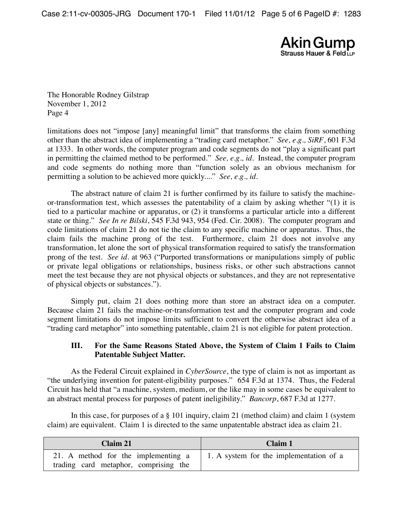Case 2:11-cv-00305-JRG Document 170-1 Filed 11/01/12 Page 5 of 6 PageID #: 1283



The Honorable Rodney Gilstrap November 1, 2012 Page 4

limitations does not "impose [any] meaningful limit" that transforms the claim from something other than the abstract idea of implementing a "trading card metaphor." *See, e.g., SiRF*, 601 F.3d at 1333. In other words, the computer program and code segments do not "play a significant part in permitting the claimed method to be performed." *See, e.g., id*. Instead, the computer program and code segments do nothing more than "function solely as an obvious mechanism for permitting a solution to be achieved more quickly...." *See, e.g., id*.

The abstract nature of claim 21 is further confirmed by its failure to satisfy the machineor-transformation test, which assesses the patentability of a claim by asking whether "(1) it is tied to a particular machine or apparatus, or (2) it transforms a particular article into a different state or thing." *See In re Bilski*, 545 F.3d 943, 954 (Fed. Cir. 2008). The computer program and code limitations of claim 21 do not tie the claim to any specific machine or apparatus. Thus, the claim fails the machine prong of the test. Furthermore, claim 21 does not involve any transformation, let alone the sort of physical transformation required to satisfy the transformation prong of the test. *See id.* at 963 ("Purported transformations or manipulations simply of public or private legal obligations or relationships, business risks, or other such abstractions cannot meet the test because they are not physical objects or substances, and they are not representative of physical objects or substances.").

Simply put, claim 21 does nothing more than store an abstract idea on a computer. Because claim 21 fails the machine-or-transformation test and the computer program and code segment limitations do not impose limits sufficient to convert the otherwise abstract idea of a "trading card metaphor" into something patentable, claim 21 is not eligible for patent protection.

## **III. For the Same Reasons Stated Above, the System of Claim 1 Fails to Claim Patentable Subject Matter.**

As the Federal Circuit explained in *CyberSource*, the type of claim is not as important as "the underlying invention for patent-eligibility purposes." 654 F.3d at 1374. Thus, the Federal Circuit has held that "a machine, system, medium, or the like may in some cases be equivalent to an abstract mental process for purposes of patent ineligibility." *Bancorp*, 687 F.3d at 1277.

In this case, for purposes of a § 101 inquiry, claim 21 (method claim) and claim 1 (system claim) are equivalent. Claim 1 is directed to the same unpatentable abstract idea as claim 21.

| Claim 21                                                                     | Claim 1                                 |
|------------------------------------------------------------------------------|-----------------------------------------|
| 21. A method for the implementing a<br>trading card metaphor, comprising the | 1. A system for the implementation of a |